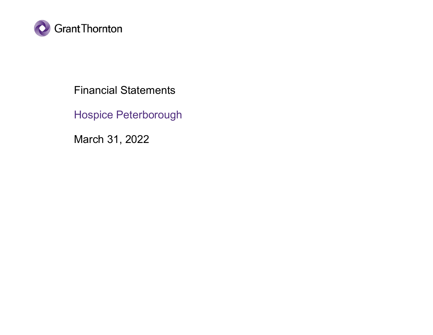

Financial Statements

Hospice Peterborough

March 31, 2022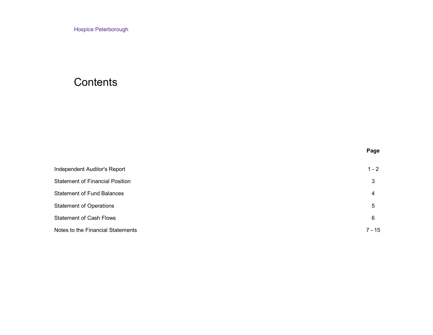# **Contents**

|                                        | Page     |
|----------------------------------------|----------|
| Independent Auditor's Report           | $1 - 2$  |
| <b>Statement of Financial Position</b> | 3        |
| <b>Statement of Fund Balances</b>      | 4        |
| <b>Statement of Operations</b>         | 5        |
| <b>Statement of Cash Flows</b>         | 6        |
| Notes to the Financial Statements      | $7 - 15$ |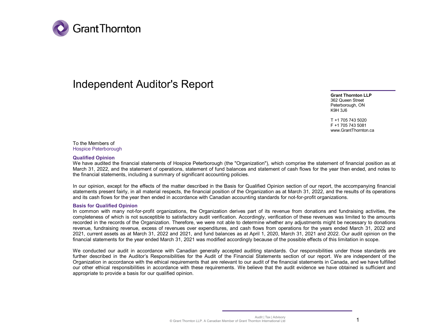

# Independent Auditor's Report

**Grant Thornton LLP** 362 Queen Street Peterborough, ON K9H 3J6

T +1 705 743 5020 F +1 705 743 5081 www.GrantThornton.ca

To the Members of Hospice Peterborough

#### **Qualified Opinion**

We have audited the financial statements of Hospice Peterborough (the "Organization"), which comprise the statement of financial position as at March 31, 2022, and the statement of operations, statement of fund balances and statement of cash flows for the year then ended, and notes to the financial statements, including a summary of significant accounting policies.

In our opinion, except for the effects of the matter described in the Basis for Qualified Opinion section of our report, the accompanying financial statements present fairly, in all material respects, the financial position of the Organization as at March 31, 2022, and the results of its operations and its cash flows for the year then ended in accordance with Canadian accounting standards for not-for-profit organizations.

#### **Basis for Qualified Opinion**

In common with many not-for-profit organizations, the Organization derives part of its revenue from donations and fundraising activities, the completeness of which is not susceptible to satisfactory audit verification. Accordingly, verification of these revenues was limited to the amounts recorded in the records of the Organization. Therefore, we were not able to determine whether any adjustments might be necessary to donations revenue, fundraising revenue, excess of revenues over expenditures, and cash flows from operations for the years ended March 31, 2022 and 2021, current assets as at March 31, 2022 and 2021, and fund balances as at April 1, 2020, March 31, 2021 and 2022. Our audit opinion on the financial statements for the year ended March 31, 2021 was modified accordingly because of the possible effects of this limitation in scope.

We conducted our audit in accordance with Canadian generally accepted auditing standards. Our responsibilities under those standards are further described in the Auditor's Responsibilities for the Audit of the Financial Statements section of our report. We are independent of the Organization in accordance with the ethical requirements that are relevant to our audit of the financial statements in Canada, and we have fulfilled our other ethical responsibilities in accordance with these requirements. We believe that the audit evidence we have obtained is sufficient and appropriate to provide a basis for our qualified opinion.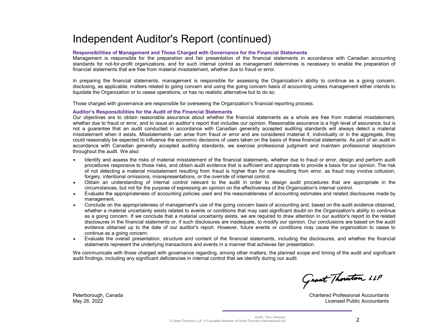# Independent Auditor's Report (continued)

#### **Responsibilities of Management and Those Charged with Governance for the Financial Statements**

Management is responsible for the preparation and fair presentation of the financial statements in accordance with Canadian accounting standards for not-for-profit organizations, and for such internal control as management determines is necessary to enable the preparation of financial statements that are free from material misstatement, whether due to fraud or error.

In preparing the financial statements, management is responsible for assessing the Organization's ability to continue as a going concern, disclosing, as applicable, matters related to going concern and using the going concern basis of accounting unless management either intends to liquidate the Organization or to cease operations, or has no realistic alternative but to do so.

Those charged with governance are responsible for overseeing the Organization's financial reporting process.

#### **Auditor's Responsibilities for the Audit of the Financial Statements**

Our objectives are to obtain reasonable assurance about whether the financial statements as a whole are free from material misstatement, whether due to fraud or error, and to issue an auditor's report that includes our opinion. Reasonable assurance is a high level of assurance, but is not a guarantee that an audit conducted in accordance with Canadian generally accepted auditing standards will always detect a material misstatement when it exists. Misstatements can arise from fraud or error and are considered material if, individually or in the aggregate, they could reasonably be expected to influence the economic decisions of users taken on the basis of these financial statements. As part of an audit in accordance with Canadian generally accepted auditing standards, we exercise professional judgment and maintain professional skepticism throughout the audit. We also:

- Identify and assess the risks of material misstatement of the financial statements, whether due to fraud or error, design and perform audit procedures responsive to those risks, and obtain audit evidence that is sufficient and appropriate to provide a basis for our opinion. The risk of not detecting a material misstatement resulting from fraud is higher than for one resulting from error, as fraud may involve collusion, forgery, intentional omissions, misrepresentations, or the override of internal control.
- w Obtain an understanding of internal control relevant to the audit in order to design audit procedures that are appropriate in the circumstances, but not for the purpose of expressing an opinion on the effectiveness of the Organization's internal control.
- Evaluate the appropriateness of accounting policies used and the reasonableness of accounting estimates and related disclosures made by management.
- Conclude on the appropriateness of management's use of the going concern basis of accounting and, based on the audit evidence obtained, whether a material uncertainty exists related to events or conditions that may cast significant doubt on the Organization's ability to continue as a going concern. If we conclude that a material uncertainty exists, we are required to draw attention in our auditor's report to the related disclosures in the financial statements or, if such disclosures are inadequate, to modify our opinion. Our conclusions are based on the audit evidence obtained up to the date of our auditor's report. However, future events or conditions may cause the organization to cease to continue as a going concern.
- Evaluate the overall presentation, structure and content of the financial statements, including the disclosures, and whether the financial statements represent the underlying transactions and events in a manner that achieves fair presentation.

We communicate with those charged with governance regarding, among other matters, the planned scope and timing of the audit and significant audit findings, including any significant deficiencies in internal control that we identify during our audit.

Grant Thouton LLP

Chartered Professional Accountants Licensed Public Accountants

Peterborough, Canada May 26, 2022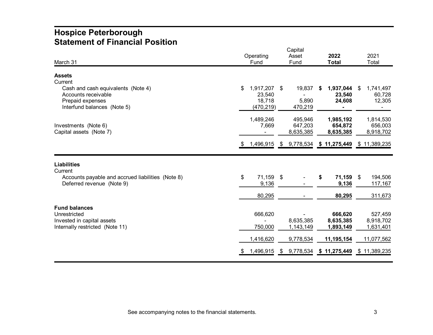## **Hospice Peterborough Statement of Financial Position**

|                                                                                                              | Capital                                           |                                  |                                    |                                     |  |
|--------------------------------------------------------------------------------------------------------------|---------------------------------------------------|----------------------------------|------------------------------------|-------------------------------------|--|
|                                                                                                              | Operating                                         | Asset                            | 2022                               | 2021                                |  |
| March 31                                                                                                     | Fund                                              | Fund                             | <b>Total</b>                       | Total                               |  |
| <b>Assets</b><br>Current                                                                                     |                                                   |                                  |                                    |                                     |  |
| Cash and cash equivalents (Note 4)<br>Accounts receivable<br>Prepaid expenses<br>Interfund balances (Note 5) | \$<br>1,917,207<br>23,540<br>18,718<br>(470, 219) | \$<br>19,837<br>5,890<br>470,219 | 1,937,044<br>S<br>23,540<br>24,608 | 1,741,497<br>\$<br>60,728<br>12,305 |  |
| Investments (Note 6)<br>Capital assets (Note 7)                                                              | 1,489,246<br>7,669                                | 495,946<br>647,203<br>8,635,385  | 1,985,192<br>654,872<br>8,635,385  | 1,814,530<br>656,003<br>8,918,702   |  |
|                                                                                                              | 1,496,915<br>- \$                                 |                                  | $$9,778,534$ $$11,275,449$         | \$11,389,235                        |  |
| <b>Liabilities</b><br>Current                                                                                |                                                   |                                  |                                    |                                     |  |
| Accounts payable and accrued liabilities (Note 8)<br>Deferred revenue (Note 9)                               | 71,159 \$<br>\$<br>9,136                          |                                  | 71,159<br>S<br>9,136               | 194,506<br>\$<br>117,167            |  |
|                                                                                                              | 80,295                                            |                                  | 80,295                             | 311,673                             |  |
| <b>Fund balances</b><br>Unrestricted<br>Invested in capital assets<br>Internally restricted (Note 11)        | 666,620<br>750,000                                | 8,635,385<br>1,143,149           | 666,620<br>8,635,385<br>1,893,149  | 527,459<br>8,918,702<br>1,631,401   |  |
|                                                                                                              | 1,416,620                                         | 9,778,534                        | 11,195,154                         | 11,077,562                          |  |
|                                                                                                              | 1,496,915<br>- \$                                 | 9,778,534<br>- \$                | \$11,275,449                       | 11,389,235<br>\$                    |  |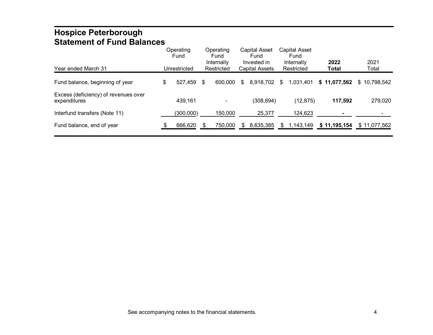## **Hospice Peterborough Statement of Fund Balances**

| Year ended March 31                                  | Operating<br>Fund<br>Unrestricted |     | Operating<br>Fund<br>Internally<br>Restricted |    | Capital Asset<br>Fund<br>Invested in<br><b>Capital Assets</b> |     | <b>Capital Asset</b><br>Fund<br>Internally<br>Restricted | 2022<br>Total | 2021<br>Total |
|------------------------------------------------------|-----------------------------------|-----|-----------------------------------------------|----|---------------------------------------------------------------|-----|----------------------------------------------------------|---------------|---------------|
| Fund balance, beginning of year                      | \$<br>527,459                     | \$  | 600,000                                       | S  | 8,918,702                                                     | \$. | 1,031,401                                                | \$11,077,562  | \$10.798.542  |
| Excess (deficiency) of revenues over<br>expenditures | 439,161                           |     |                                               |    | (308,694)                                                     |     | (12, 875)                                                | 117,592       | 279,020       |
| Interfund transfers (Note 11)                        | (300,000)                         |     | 150,000                                       |    | 25,377                                                        |     | 124,623                                                  |               |               |
| Fund balance, end of year                            | 666,620                           | \$. | 750,000                                       | S. | 8,635,385                                                     | \$. | 1,143,149                                                | \$11,195,154  | \$11,077,562  |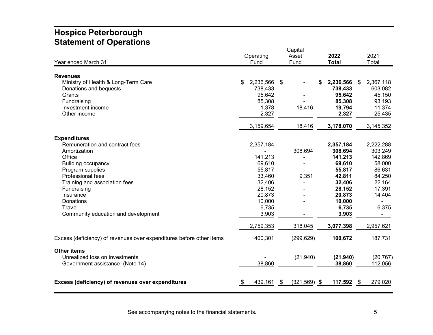## **Hospice Peterborough Statement of Operations**

|                                                                      | Capital |           |    |                |   |              |    |           |
|----------------------------------------------------------------------|---------|-----------|----|----------------|---|--------------|----|-----------|
|                                                                      |         | Operating |    | Asset          |   | 2022         |    | 2021      |
| Year ended March 31                                                  |         | Fund      |    | Fund           |   | <b>Total</b> |    | Total     |
|                                                                      |         |           |    |                |   |              |    |           |
| <b>Revenues</b>                                                      |         |           |    |                |   |              |    |           |
| Ministry of Health & Long-Term Care                                  | \$      | 2,236,566 | \$ |                | S | 2,236,566    | \$ | 2,367,118 |
| Donations and bequests                                               |         | 738,433   |    |                |   | 738,433      |    | 603,082   |
| Grants                                                               |         | 95,642    |    |                |   | 95,642       |    | 45,150    |
| Fundraising                                                          |         | 85,308    |    |                |   | 85,308       |    | 93,193    |
| Investment income                                                    |         | 1,378     |    | 18,416         |   | 19,794       |    | 11,374    |
| Other income                                                         |         | 2,327     |    |                |   | 2,327        |    | 25,435    |
|                                                                      |         | 3,159,654 |    | 18,416         |   | 3,178,070    |    | 3,145,352 |
| <b>Expenditures</b>                                                  |         |           |    |                |   |              |    |           |
| Remuneration and contract fees                                       |         | 2,357,184 |    |                |   | 2,357,184    |    | 2,222,288 |
| Amortization                                                         |         |           |    | 308,694        |   | 308,694      |    | 303,249   |
| Office                                                               |         | 141,213   |    |                |   | 141,213      |    | 142,869   |
| <b>Building occupancy</b>                                            |         | 69,610    |    |                |   | 69,610       |    | 58,000    |
| Program supplies                                                     |         | 55,817    |    |                |   | 55,817       |    | 86,631    |
| <b>Professional fees</b>                                             |         | 33,460    |    | 9,351          |   | 42,811       |    | 84,250    |
| Training and association fees                                        |         | 32,406    |    |                |   | 32,406       |    | 22,164    |
| Fundraising                                                          |         | 28,152    |    |                |   | 28,152       |    | 17,391    |
| Insurance                                                            |         | 20,873    |    |                |   | 20,873       |    | 14,404    |
| Donations                                                            |         | 10,000    |    |                |   | 10,000       |    |           |
| Travel                                                               |         | 6,735     |    |                |   | 6,735        |    | 6,375     |
| Community education and development                                  |         | 3,903     |    |                |   | 3,903        |    | $\sim$    |
|                                                                      |         | 2,759,353 |    | 318,045        |   | 3,077,398    |    | 2,957,621 |
| Excess (deficiency) of revenues over expenditures before other items |         | 400,301   |    | (299, 629)     |   | 100,672      |    | 187,731   |
|                                                                      |         |           |    |                |   |              |    |           |
| <b>Other items</b>                                                   |         |           |    |                |   |              |    |           |
| Unrealized loss on investments                                       |         |           |    | (21, 940)      |   | (21, 940)    |    | (20, 767) |
| Government assistance (Note 14)                                      |         | 38,860    |    |                |   | 38,860       |    | 112,056   |
| Excess (deficiency) of revenues over expenditures                    |         | 439,161   | \$ | $(321,569)$ \$ |   | 117,592      | \$ | 279,020   |
|                                                                      |         |           |    |                |   |              |    |           |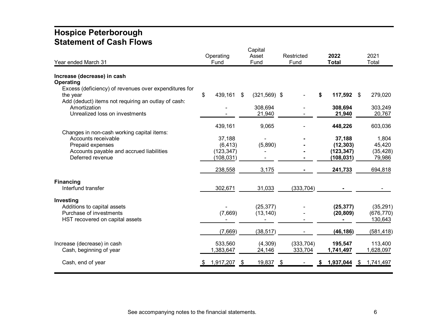## **Hospice Peterborough Statement of Cash Flows**

| Year ended March 31                                                                                                                   | Operating<br>Fund    | Capital<br>Asset<br>Fund | Restricted<br>Fund    | 2022<br><b>Total</b>   | 2021<br>Total                      |
|---------------------------------------------------------------------------------------------------------------------------------------|----------------------|--------------------------|-----------------------|------------------------|------------------------------------|
| Increase (decrease) in cash                                                                                                           |                      |                          |                       |                        |                                    |
| Operating<br>Excess (deficiency) of revenues over expenditures for<br>the year<br>Add (deduct) items not requiring an outlay of cash: | \$<br>439,161        | $(321,569)$ \$<br>\$     |                       | 117,592 \$<br>\$       | 279,020                            |
| Amortization<br>Unrealized loss on investments                                                                                        |                      | 308,694<br>21,940        |                       | 308,694<br>21,940      | 303,249<br>20,767                  |
| Changes in non-cash working capital items:                                                                                            | 439,161              | 9,065                    |                       | 448,226                | 603,036                            |
| Accounts receivable                                                                                                                   | 37,188               |                          |                       | 37,188                 | 1,804                              |
| Prepaid expenses                                                                                                                      | (6, 413)             | (5,890)                  |                       | (12, 303)              | 45,420                             |
| Accounts payable and accrued liabilities                                                                                              | (123, 347)           |                          |                       | (123, 347)             | (35, 428)                          |
| Deferred revenue                                                                                                                      | (108, 031)           |                          |                       | (108, 031)             | 79,986                             |
|                                                                                                                                       | 238,558              | 3,175                    |                       | 241,733                | 694,818                            |
| <b>Financing</b><br>Interfund transfer                                                                                                | 302,671              | 31,033                   | (333, 704)            |                        |                                    |
| Investing<br>Additions to capital assets<br>Purchase of investments<br>HST recovered on capital assets                                | (7,669)              | (25, 377)<br>(13, 140)   |                       | (25, 377)<br>(20, 809) | (35, 291)<br>(676, 770)<br>130,643 |
|                                                                                                                                       | (7,669)              | (38, 517)                |                       | (46, 186)              | (581, 418)                         |
| Increase (decrease) in cash<br>Cash, beginning of year                                                                                | 533,560<br>1,383,647 | (4,309)<br>24,146        | (333, 704)<br>333,704 | 195,547<br>1,741,497   | 113,400<br>1,628,097               |
| Cash, end of year                                                                                                                     | 1,917,207            | 19,837<br>\$             | \$                    | 1,937,044              | 1,741,497<br>- \$                  |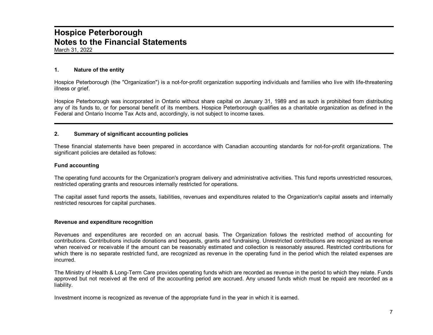March 31, 2022

#### **1. Nature of the entity**

Hospice Peterborough (the "Organization") is a not-for-profit organization supporting individuals and families who live with life-threatening illness or grief.

Hospice Peterborough was incorporated in Ontario without share capital on January 31, 1989 and as such is prohibited from distributing any of its funds to, or for personal benefit of its members. Hospice Peterborough qualifies as a charitable organization as defined in the Federal and Ontario Income Tax Acts and, accordingly, is not subject to income taxes.

#### **2. Summary of significant accounting policies**

These financial statements have been prepared in accordance with Canadian accounting standards for not-for-profit organizations. The significant policies are detailed as follows:

#### **Fund accounting**

The operating fund accounts for the Organization's program delivery and administrative activities. This fund reports unrestricted resources, restricted operating grants and resources internally restricted for operations.

The capital asset fund reports the assets, liabilities, revenues and expenditures related to the Organization's capital assets and internally restricted resources for capital purchases.

#### **Revenue and expenditure recognition**

Revenues and expenditures are recorded on an accrual basis. The Organization follows the restricted method of accounting for contributions. Contributions include donations and bequests, grants and fundraising. Unrestricted contributions are recognized as revenue when received or receivable if the amount can be reasonably estimated and collection is reasonably assured. Restricted contributions for which there is no separate restricted fund, are recognized as revenue in the operating fund in the period which the related expenses are incurred.

The Ministry of Health & Long-Term Care provides operating funds which are recorded as revenue in the period to which they relate. Funds approved but not received at the end of the accounting period are accrued. Any unused funds which must be repaid are recorded as a liability.

Investment income is recognized as revenue of the appropriate fund in the year in which it is earned.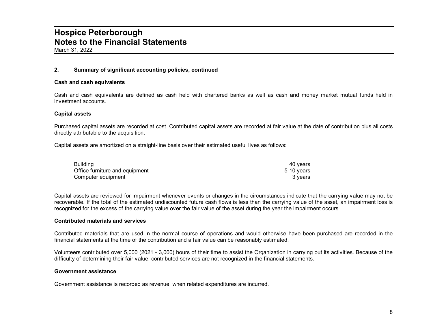March 31, 2022

### **2. Summary of significant accounting policies, continued**

#### **Cash and cash equivalents**

Cash and cash equivalents are defined as cash held with chartered banks as well as cash and money market mutual funds held in investment accounts.

#### **Capital assets**

Purchased capital assets are recorded at cost. Contributed capital assets are recorded at fair value at the date of contribution plus all costs directly attributable to the acquisition.

Capital assets are amortized on a straight-line basis over their estimated useful lives as follows:

| Building                       | 40 vears   |
|--------------------------------|------------|
| Office furniture and equipment | 5-10 vears |
| Computer equipment             | 3 vears    |

Capital assets are reviewed for impairment whenever events or changes in the circumstances indicate that the carrying value may not be recoverable. If the total of the estimated undiscounted future cash flows is less than the carrying value of the asset, an impairment loss is recognized for the excess of the carrying value over the fair value of the asset during the year the impairment occurs.

#### **Contributed materials and services**

Contributed materials that are used in the normal course of operations and would otherwise have been purchased are recorded in the financial statements at the time of the contribution and a fair value can be reasonably estimated.

Volunteers contributed over 5,000 (2021 - 3,000) hours of their time to assist the Organization in carrying out its activities. Because of the difficulty of determining their fair value, contributed services are not recognized in the financial statements.

#### **Government assistance**

Government assistance is recorded as revenue when related expenditures are incurred.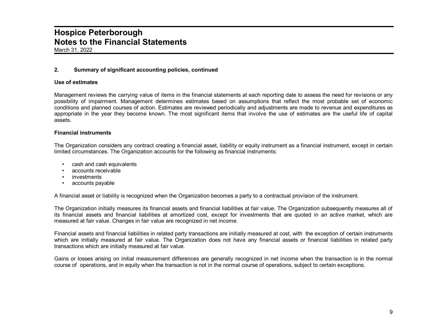March 31, 2022

### **2. Summary of significant accounting policies, continued**

#### **Use of estimates**

Management reviews the carrying value of items in the financial statements at each reporting date to assess the need for revisions or any possibility of impairment. Management determines estimates based on assumptions that reflect the most probable set of economic conditions and planned courses of action. Estimates are reviewed periodically and adjustments are made to revenue and expenditures as appropriate in the year they become known. The most significant items that involve the use of estimates are the useful life of capital assets.

#### **Financial instruments**

The Organization considers any contract creating a financial asset, liability or equity instrument as a financial instrument, except in certain limited circumstances. The Organization accounts for the following as financial instruments:

- cash and cash equivalents
- accounts receivable
- *investments*
- accounts payable

A financial asset or liability is recognized when the Organization becomes a party to a contractual provision of the instrument.

The Organization initially measures its financial assets and financial liabilities at fair value. The Organization subsequently measures all of its financial assets and financial liabilities at amortized cost, except for investments that are quoted in an active market, which are measured at fair value. Changes in fair value are recognized in net income.

Financial assets and financial liabilities in related party transactions are initially measured at cost, with the exception of certain instruments which are initially measured at fair value. The Organization does not have any financial assets or financial liabilities in related party transactions which are initially measured at fair value.

Gains or losses arising on initial measurement differences are generally recognized in net income when the transaction is in the normal course of operations, and in equity when the transaction is not in the normal course of operations, subject to certain exceptions.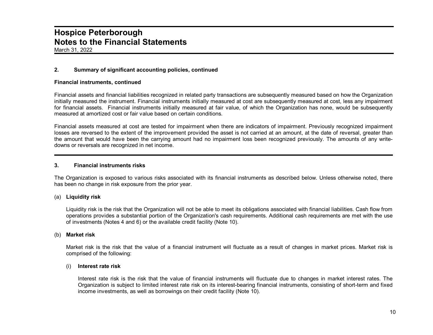March 31, 2022

### **2. Summary of significant accounting policies, continued**

#### **Financial instruments, continued**

Financial assets and financial liabilities recognized in related party transactions are subsequently measured based on how the Organization initially measured the instrument. Financial instruments initially measured at cost are subsequently measured at cost, less any impairment for financial assets. Financial instruments initially measured at fair value, of which the Organization has none, would be subsequently measured at amortized cost or fair value based on certain conditions.

Financial assets measured at cost are tested for impairment when there are indicators of impairment. Previously recognized impairment losses are reversed to the extent of the improvement provided the asset is not carried at an amount, at the date of reversal, greater than the amount that would have been the carrying amount had no impairment loss been recognized previously. The amounts of any writedowns or reversals are recognized in net income.

#### **3. Financial instruments risks**

The Organization is exposed to various risks associated with its financial instruments as described below. Unless otherwise noted, there has been no change in risk exposure from the prior year.

#### (a) **Liquidity risk**

Liquidity risk is the risk that the Organization will not be able to meet its obligations associated with financial liabilities. Cash flow from operations provides a substantial portion of the Organization's cash requirements. Additional cash requirements are met with the use of investments (Notes 4 and 6) or the available credit facility (Note 10).

#### (b) **Market risk**

Market risk is the risk that the value of a financial instrument will fluctuate as a result of changes in market prices. Market risk is comprised of the following:

#### (i) **Interest rate risk**

Interest rate risk is the risk that the value of financial instruments will fluctuate due to changes in market interest rates. The Organization is subject to limited interest rate risk on its interest-bearing financial instruments, consisting of short-term and fixed income investments, as well as borrowings on their credit facility (Note 10).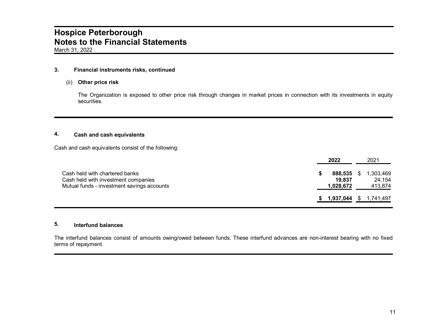#### **3. Financial instruments risks, continued**

#### (ii) **Other price risk**

The Organization is exposed to other price risk through changes in market prices in connection with its investments in equity securities.

### **4. Cash and cash equivalents**

Cash and cash equivalents consist of the following:

|                                                                                                                     | 2022                           |    | 2021                           |
|---------------------------------------------------------------------------------------------------------------------|--------------------------------|----|--------------------------------|
| Cash held with chartered banks<br>Cash held with investment companies<br>Mutual funds - investment savings accounts | 888,535<br>19.837<br>1,028,672 | S. | 1,303,469<br>24,154<br>413,874 |
|                                                                                                                     | 1,937,044 \$ 1,741,497         |    |                                |

### **5. Interfund balances**

The interfund balances consist of amounts owing/owed between funds. These interfund advances are non-interest bearing with no fixed terms of repayment.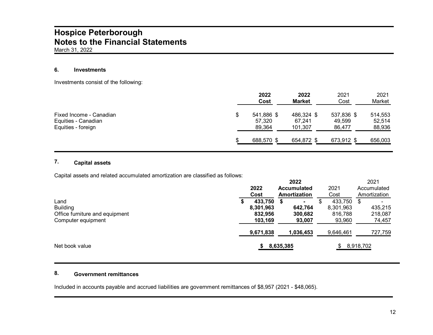### **6. Investments**

Investments consist of the following:

|                                                                      | 2022<br>Cost                         | 2022<br><b>Market</b>           | 2021<br>Cost                   | 2021<br>Market              |
|----------------------------------------------------------------------|--------------------------------------|---------------------------------|--------------------------------|-----------------------------|
| Fixed Income - Canadian<br>Equities - Canadian<br>Equities - foreign | \$<br>541,886 \$<br>57.320<br>89,364 | 486,324 \$<br>67.241<br>101,307 | 537,836 \$<br>49,599<br>86,477 | 514,553<br>52,514<br>88,936 |
|                                                                      | 688,570 \$                           | 654,872 \$                      | 673,912 \$                     | 656,003                     |

### **7. Capital assets**

Capital assets and related accumulated amortization are classified as follows:

|                                |           | 2022                   |           | 2021                |  |
|--------------------------------|-----------|------------------------|-----------|---------------------|--|
|                                | 2022      | <b>Accumulated</b>     | 2021      | Accumulated         |  |
|                                | Cost      | Amortization           | Cost      | Amortization        |  |
| Land                           | 433,750   | S                      | 433,750   | S<br>$\blacksquare$ |  |
| <b>Building</b>                | 8,301,963 | 642.764                | 8,301,963 | 435,215             |  |
| Office furniture and equipment | 832.956   | 300,682                | 816,788   | 218,087             |  |
| Computer equipment             | 103,169   | 93,007                 | 93,960    | 74,457              |  |
|                                | 9,671,838 | 1,036,453              | 9,646,461 | 727,759             |  |
| Net book value                 |           | 8,918,702<br>8,635,385 |           |                     |  |

### **8. Government remittances**

Included in accounts payable and accrued liabilities are government remittances of \$8,957 (2021 - \$48,065).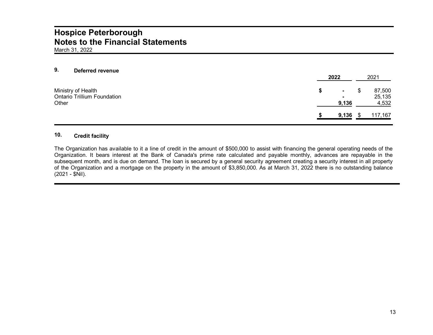#### **9. Deferred revenue**

|                                    | 2022       | 2021    |
|------------------------------------|------------|---------|
| Ministry of Health                 | $\sim$     | 87,500  |
| <b>Ontario Trillium Foundation</b> |            | 25,135  |
| Other                              | 9,136      | 4,532   |
|                                    | $9,136$ \$ | 117,167 |

### **10. Credit facility**

The Organization has available to it a line of credit in the amount of \$500,000 to assist with financing the general operating needs of the Organization. It bears interest at the Bank of Canada's prime rate calculated and payable monthly, advances are repayable in the subsequent month, and is due on demand. The loan is secured by a general security agreement creating a security interest in all property of the Organization and a mortgage on the property in the amount of \$3,850,000. As at March 31, 2022 there is no outstanding balance (2021 - \$Nil).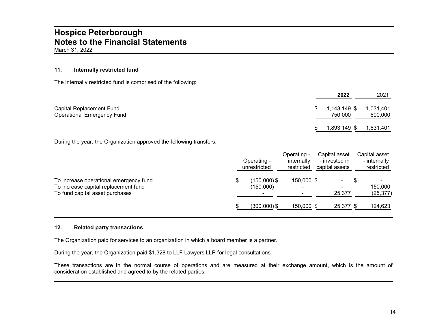#### **11. Internally restricted fund**

The internally restricted fund is comprised of the following:

|                                                               | 2022                          | 2021                 |
|---------------------------------------------------------------|-------------------------------|----------------------|
| Capital Replacement Fund<br><b>Operational Emergency Fund</b> | \$<br>1,143,149 \$<br>750,000 | 1,031,401<br>600,000 |
|                                                               | 1,893,149 \$ 1,631,401        |                      |

During the year, the Organization approved the following transfers:

|                                                                                                                   | Operating -<br>unrestricted                              | Operating -<br>internally<br>restricted | Capital asset<br>- invested in<br>capital assets | Capital asset<br>- internally<br>restricted |
|-------------------------------------------------------------------------------------------------------------------|----------------------------------------------------------|-----------------------------------------|--------------------------------------------------|---------------------------------------------|
| To increase operational emergency fund<br>To increase capital replacement fund<br>To fund capital asset purchases | $(150,000)\$ \$<br>(150,000)<br>$\overline{\phantom{a}}$ | 150,000 \$                              | 25,377                                           | 150,000<br>(25, 377)                        |
|                                                                                                                   | $(300,000)$ \$                                           | 150,000 \$                              | 25,377 \$                                        | 124,623                                     |

#### **12. Related party transactions**

The Organization paid for services to an organization in which a board member is a partner.

During the year, the Organization paid \$1,328 to LLF Lawyers LLP for legal consultations.

These transactions are in the normal course of operations and are measured at their exchange amount, which is the amount of consideration established and agreed to by the related parties.